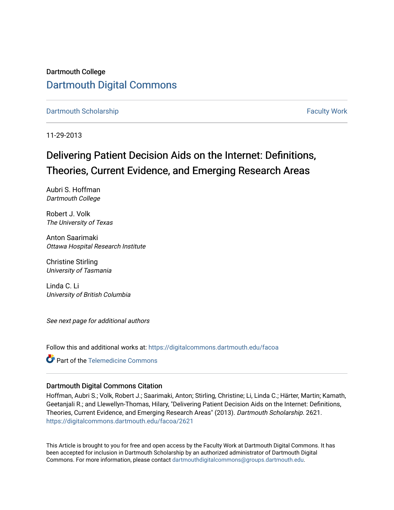Dartmouth College [Dartmouth Digital Commons](https://digitalcommons.dartmouth.edu/) 

[Dartmouth Scholarship](https://digitalcommons.dartmouth.edu/facoa) [Faculty Work](https://digitalcommons.dartmouth.edu/faculty) and The Basic Scholarship Faculty Work Faculty Work

11-29-2013

# Delivering Patient Decision Aids on the Internet: Definitions, Theories, Current Evidence, and Emerging Research Areas

Aubri S. Hoffman Dartmouth College

Robert J. Volk The University of Texas

Anton Saarimaki Ottawa Hospital Research Institute

Christine Stirling University of Tasmania

Linda C. Li University of British Columbia

See next page for additional authors

Follow this and additional works at: [https://digitalcommons.dartmouth.edu/facoa](https://digitalcommons.dartmouth.edu/facoa?utm_source=digitalcommons.dartmouth.edu%2Ffacoa%2F2621&utm_medium=PDF&utm_campaign=PDFCoverPages)

**C** Part of the Telemedicine Commons

### Dartmouth Digital Commons Citation

Hoffman, Aubri S.; Volk, Robert J.; Saarimaki, Anton; Stirling, Christine; Li, Linda C.; Härter, Martin; Kamath, Geetanjali R.; and Llewellyn-Thomas, Hilary, "Delivering Patient Decision Aids on the Internet: Definitions, Theories, Current Evidence, and Emerging Research Areas" (2013). Dartmouth Scholarship. 2621. [https://digitalcommons.dartmouth.edu/facoa/2621](https://digitalcommons.dartmouth.edu/facoa/2621?utm_source=digitalcommons.dartmouth.edu%2Ffacoa%2F2621&utm_medium=PDF&utm_campaign=PDFCoverPages) 

This Article is brought to you for free and open access by the Faculty Work at Dartmouth Digital Commons. It has been accepted for inclusion in Dartmouth Scholarship by an authorized administrator of Dartmouth Digital Commons. For more information, please contact [dartmouthdigitalcommons@groups.dartmouth.edu](mailto:dartmouthdigitalcommons@groups.dartmouth.edu).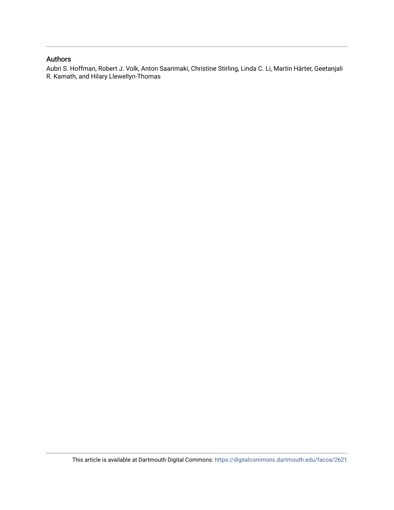# Authors

Aubri S. Hoffman, Robert J. Volk, Anton Saarimaki, Christine Stirling, Linda C. Li, Martin Härter, Geetanjali R. Kamath, and Hilary Llewellyn-Thomas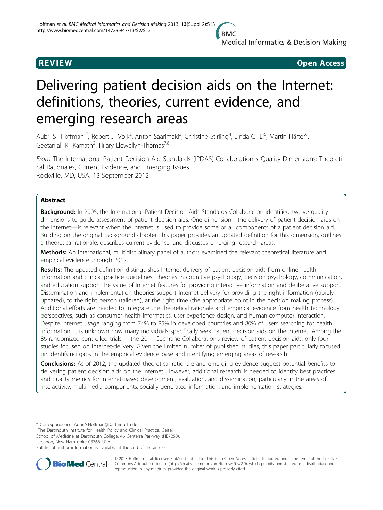**Medical Informatics & Decision Making** 

**REVIEW CONSTRUCTION CONSTRUCTION CONSTRUCTS** 

# Delivering patient decision aids on the Internet: definitions, theories, current evidence, and emerging research areas

Aubri S Hoffman<sup>1\*</sup>, Robert J Volk<sup>2</sup>, Anton Saarimaki<sup>3</sup>, Christine Stirling<sup>4</sup>, Linda C Li<sup>5</sup>, Martin Härter<sup>6</sup> .<br>, Geetanjali R Kamath<sup>2</sup>, Hilary Llewellyn-Thomas<sup>7,8</sup>

From The International Patient Decision Aid Standards (IPDAS) Collaboration s Quality Dimensions: Theoretical Rationales, Current Evidence, and Emerging Issues Rockville, MD, USA. 13 September 2012

## Abstract

**Background:** In 2005, the International Patient Decision Aids Standards Collaboration identified twelve quality dimensions to guide assessment of patient decision aids. One dimension—the delivery of patient decision aids on the Internet—is relevant when the Internet is used to provide some or all components of a patient decision aid. Building on the original background chapter, this paper provides an updated definition for this dimension, outlines a theoretical rationale, describes current evidence, and discusses emerging research areas.

Methods: An international, multidisciplinary panel of authors examined the relevant theoretical literature and empirical evidence through 2012.

Results: The updated definition distinguishes Internet-delivery of patient decision aids from online health information and clinical practice guidelines. Theories in cognitive psychology, decision psychology, communication, and education support the value of Internet features for providing interactive information and deliberative support. Dissemination and implementation theories support Internet-delivery for providing the right information (rapidly updated), to the right person (tailored), at the right time (the appropriate point in the decision making process). Additional efforts are needed to integrate the theoretical rationale and empirical evidence from health technology perspectives, such as consumer health informatics, user experience design, and human-computer interaction. Despite Internet usage ranging from 74% to 85% in developed countries and 80% of users searching for health information, it is unknown how many individuals specifically seek patient decision aids on the Internet. Among the 86 randomized controlled trials in the 2011 Cochrane Collaboration's review of patient decision aids, only four studies focused on Internet-delivery. Given the limited number of published studies, this paper particularly focused on identifying gaps in the empirical evidence base and identifying emerging areas of research.

**Conclusions:** As of 2012, the updated theoretical rationale and emerging evidence suggest potential benefits to delivering patient decision aids on the Internet. However, additional research is needed to identify best practices and quality metrics for Internet-based development, evaluation, and dissemination, particularly in the areas of interactivity, multimedia components, socially-generated information, and implementation strategies.

\* Correspondence: [Aubri.S.Hoffman@Dartmouth.edu](mailto:Aubri.S.Hoffman@Dartmouth.edu)

<sup>1</sup>The Dartmouth Institute for Health Policy and Clinical Practice, Geisel School of Medicine at Dartmouth College, 46 Centerra Parkway (HB7250),

Lebanon, New Hampshire 03766, USA

Full list of author information is available at the end of the article



© 2013 Hoffman et al; licensee BioMed Central Ltd. This is an Open Access article distributed under the terms of the Creative Commons Attribution License [\(http://creativecommons.org/licenses/by/2.0](http://creativecommons.org/licenses/by/2.0)), which permits unrestricted use, distribution, and reproduction in any medium, provided the original work is properly cited.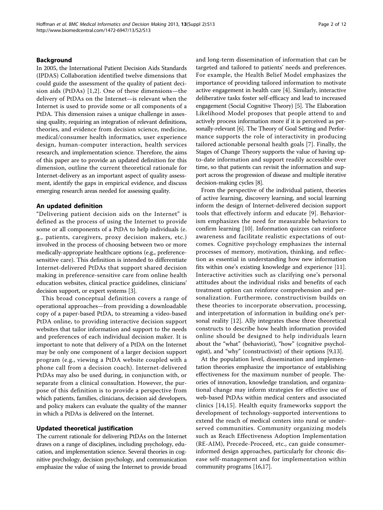#### Background

In 2005, the International Patient Decision Aids Standards (IPDAS) Collaboration identified twelve dimensions that could guide the assessment of the quality of patient decision aids (PtDAs) [[1](#page-11-0),[2\]](#page-11-0). One of these dimensions—the delivery of PtDAs on the Internet—is relevant when the Internet is used to provide some or all components of a PtDA. This dimension raises a unique challenge in assessing quality, requiring an integration of relevant definitions, theories, and evidence from decision science, medicine, medical/consumer health informatics, user experience design, human-computer interaction, health services research, and implementation science. Therefore, the aims of this paper are to provide an updated definition for this dimension, outline the current theoretical rationale for Internet-delivery as an important aspect of quality assessment, identify the gaps in empirical evidence, and discuss emerging research areas needed for assessing quality.

#### An updated definition

"Delivering patient decision aids on the Internet" is defined as the process of using the Internet to provide some or all components of a PtDA to help individuals (e. g., patients, caregivers, proxy decision makers, etc.) involved in the process of choosing between two or more medically-appropriate healthcare options (e.g., preferencesensitive care). This definition is intended to differentiate Internet-delivered PtDAs that support shared decision making in preference-sensitive care from online health education websites, clinical practice guidelines, clinicians' decision support, or expert systems [[3](#page-11-0)].

This broad conceptual definition covers a range of operational approaches—from providing a downloadable copy of a paper-based PtDA, to streaming a video-based PtDA online, to providing interactive decision support websites that tailor information and support to the needs and preferences of each individual decision maker. It is important to note that delivery of a PtDA on the Internet may be only one component of a larger decision support program (e.g., viewing a PtDA website coupled with a phone call from a decision coach). Internet-delivered PtDAs may also be used during, in conjunction with, or separate from a clinical consultation. However, the purpose of this definition is to provide a perspective from which patients, families, clinicians, decision aid developers, and policy makers can evaluate the quality of the manner in which a PtDAs is delivered on the Internet.

#### Updated theoretical justification

The current rationale for delivering PtDAs on the Internet draws on a range of disciplines, including psychology, education, and implementation science. Several theories in cognitive psychology, decision psychology, and communication emphasize the value of using the Internet to provide broad and long-term dissemination of information that can be targeted and tailored to patients' needs and preferences. For example, the Health Belief Model emphasizes the importance of providing tailored information to motivate active engagement in health care [\[4](#page-11-0)]. Similarly, interactive deliberative tasks foster self-efficacy and lead to increased engagement (Social Cognitive Theory) [\[5\]](#page-11-0). The Elaboration Likelihood Model proposes that people attend to and actively process information more if it is perceived as personally-relevant [[6](#page-11-0)]. The Theory of Goal Setting and Performance supports the role of interactivity in producing tailored actionable personal health goals [\[7](#page-11-0)]. Finally, the Stages of Change Theory supports the value of having upto-date information and support readily accessible over time, so that patients can revisit the information and support across the progression of disease and multiple iterative decision-making cycles [\[8\]](#page-11-0).

From the perspective of the individual patient, theories of active learning, discovery learning, and social learning inform the design of Internet-delivered decision support tools that effectively inform and educate [[9](#page-11-0)]. Behaviorism emphasizes the need for measurable behaviors to confirm learning [[10\]](#page-12-0). Information quizzes can reinforce awareness and facilitate realistic expectations of outcomes. Cognitive psychology emphasizes the internal processes of memory, motivation, thinking, and reflection as essential in understanding how new information fits within one's existing knowledge and experience [\[11](#page-12-0)]. Interactive activities such as clarifying one's personal attitudes about the individual risks and benefits of each treatment option can reinforce comprehension and personalization. Furthermore, constructivism builds on these theories to incorporate observation, processing, and interpretation of information in building one's personal reality [\[12](#page-12-0)]. Ally integrates these three theoretical constructs to describe how health information provided online should be designed to help individuals learn about the "what" (behaviorist), "how" (cognitive psychologist), and "why" (constructivist) of their options [[9,](#page-11-0)[13\]](#page-12-0).

At the population level, dissemination and implementation theories emphasize the importance of establishing effectiveness for the maximum number of people. Theories of innovation, knowledge translation, and organizational change may inform strategies for effective use of web-based PtDAs within medical centers and associated clinics [[14,15](#page-12-0)]. Health equity frameworks support the development of technology-supported interventions to extend the reach of medical centers into rural or underserved communities. Community organizing models such as Reach Effectiveness Adoption Implementation (RE-AIM), Precede-Proceed, etc., can guide consumerinformed design approaches, particularly for chronic disease self-management and for implementation within community programs [[16,17\]](#page-12-0).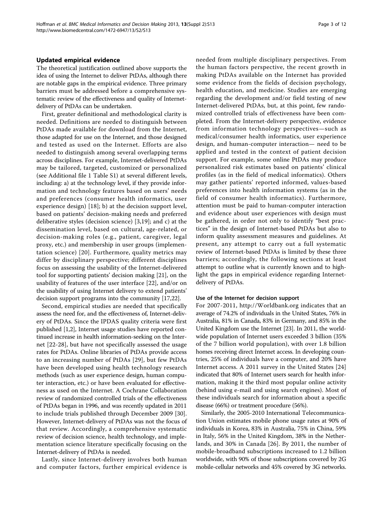#### Updated empirical evidence

The theoretical justification outlined above supports the idea of using the Internet to deliver PtDAs, although there are notable gaps in the empirical evidence. Three primary barriers must be addressed before a comprehensive systematic review of the effectiveness and quality of Internetdelivery of PtDAs can be undertaken.

First, greater definitional and methodological clarity is needed. Definitions are needed to distinguish between PtDAs made available for download from the Internet, those adapted for use on the Internet, and those designed and tested as used on the Internet. Efforts are also needed to distinguish among several overlapping terms across disciplines. For example, Internet-delivered PtDAs may be tailored, targeted, customized or personalized (see Additional file [1](#page-11-0) Table S1) at several different levels, including: a) at the technology level, if they provide information and technology features based on users' needs and preferences (consumer health informatics, user experience design) [\[18\]](#page-12-0); b) at the decision support level, based on patients' decision-making needs and preferred deliberative styles (decision science) [[3,](#page-11-0)[19\]](#page-12-0); and c) at the dissemination level, based on cultural, age-related, or decision-making roles (e.g., patient, caregiver, legal proxy, etc.) and membership in user groups (implementation science) [[20](#page-12-0)]. Furthermore, quality metrics may differ by disciplinary perspective; different disciplines focus on assessing the usability of the Internet-delivered tool for supporting patients' decision making [\[21](#page-12-0)], on the usability of features of the user interface [[22\]](#page-12-0), and/or on the usability of using Internet delivery to extend patients' decision support programs into the community [[17,22](#page-12-0)].

Second, empirical studies are needed that specifically assess the need for, and the effectiveness of, Internet-delivery of PtDAs. Since the IPDAS quality criteria were first published [[1,2\]](#page-11-0), Internet usage studies have reported continued increase in health information-seeking on the Internet [\[22-28](#page-12-0)], but have not specifically assessed the usage rates for PtDAs. Online libraries of PtDAs provide access to an increasing number of PtDAs [\[29\]](#page-12-0), but few PtDAs have been developed using health technology research methods (such as user experience design, human computer interaction, etc.) or have been evaluated for effectiveness as used on the Internet. A Cochrane Collaboration review of randomized controlled trials of the effectiveness of PtDAs began in 1996, and was recently updated in 2011 to include trials published through December 2009 [\[30](#page-12-0)]. However, Internet-delivery of PtDAs was not the focus of that review. Accordingly, a comprehensive systematic review of decision science, health technology, and implementation science literature specifically focusing on the Internet-delivery of PtDAs is needed.

Lastly, since Internet-delivery involves both human and computer factors, further empirical evidence is needed from multiple disciplinary perspectives. From the human factors perspective, the recent growth in making PtDAs available on the Internet has provided some evidence from the fields of decision psychology, health education, and medicine. Studies are emerging regarding the development and/or field testing of new Internet-delivered PtDAs, but, at this point, few randomized controlled trials of effectiveness have been completed. From the Internet-delivery perspective, evidence from information technology perspectives—such as medical/consumer health informatics, user experience design, and human-computer interaction— need to be applied and tested in the context of patient decision support. For example, some online PtDAs may produce personalized risk estimates based on patients' clinical profiles (as in the field of medical informatics). Others may gather patients' reported informed, values-based preferences into health information systems (as in the field of consumer health informatics). Furthermore, attention must be paid to human-computer interaction and evidence about user experiences with design must be gathered, in order not only to identify "best practices" in the design of Internet-based PtDAs but also to inform quality assessment measures and guidelines. At present, any attempt to carry out a full systematic review of Internet-based PtDAs is limited by these three barriers; accordingly, the following sections at least attempt to outline what is currently known and to highlight the gaps in empirical evidence regarding Internetdelivery of PtDAs.

#### Use of the Internet for decision support

For 2007-2011,<http://Worldbank.org> indicates that an average of 74.2% of individuals in the United States, 76% in Australia, 81% in Canada, 83% in Germany, and 85% in the United Kingdom use the Internet [[23](#page-12-0)]. In 2011, the worldwide population of Internet users exceeded 3 billion (35% of the 7 billion world population), with over 1.8 billion homes receiving direct Internet access. In developing countries, 25% of individuals have a computer, and 20% have Internet access. A 2011 survey in the United States [\[24](#page-12-0)] indicated that 80% of Internet users search for health information, making it the third most popular online activity (behind using e-mail and using search engines). Most of these individuals search for information about a specific disease (66%) or treatment procedure (56%).

Similarly, the 2005-2010 International Telecommunication Union estimates mobile phone usage rates at 90% of individuals in Korea, 83% in Australia, 75% in China, 59% in Italy, 56% in the United Kingdom, 38% in the Netherlands, and 30% in Canada [[26](#page-12-0)]. By 2011, the number of mobile-broadband subscriptions increased to 1.2 billion worldwide, with 90% of those subscriptions covered by 2G mobile-cellular networks and 45% covered by 3G networks.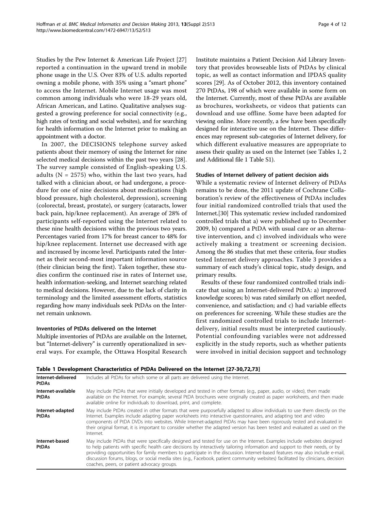<span id="page-5-0"></span>Studies by the Pew Internet & American Life Project [[27](#page-12-0)] reported a continuation in the upward trend in mobile phone usage in the U.S. Over 83% of U.S. adults reported owning a mobile phone, with 35% using a "smart phone" to access the Internet. Mobile Internet usage was most common among individuals who were 18-29 years old, African American, and Latino. Qualitative analyses suggested a growing preference for social connectivity (e.g., high rates of texting and social websites), and for searching for health information on the Internet prior to making an appointment with a doctor.

In 2007, the DECISIONS telephone survey asked patients about their memory of using the Internet for nine selected medical decisions within the past two years [\[28](#page-12-0)]. The survey sample consisted of English-speaking U.S. adults ( $N = 2575$ ) who, within the last two years, had talked with a clinician about, or had undergone, a procedure for one of nine decisions about medications (high blood pressure, high cholesterol, depression), screening (colorectal, breast, prostate), or surgery (cataracts, lower back pain, hip/knee replacement). An average of 28% of participants self-reported using the Internet related to these nine health decisions within the previous two years. Percentages varied from 17% for breast cancer to 48% for hip/knee replacement. Internet use decreased with age and increased by income level. Participants rated the Internet as their second-most important information source (their clinician being the first). Taken together, these studies confirm the continued rise in rates of Internet use, health information-seeking, and Internet searching related to medical decisions. However, due to the lack of clarity in terminology and the limited assessment efforts, statistics regarding how many individuals seek PtDAs on the Internet remain unknown.

### Inventories of PtDAs delivered on the Internet

Multiple inventories of PtDAs are available on the Internet, but "Internet-delivery" is currently operationalized in several ways. For example, the Ottawa Hospital Research Institute maintains a Patient Decision Aid Library Inventory that provides browseable lists of PtDAs by clinical topic, as well as contact information and IPDAS quality scores [[29\]](#page-12-0). As of October 2012, this inventory contained 270 PtDAs, 198 of which were available in some form on the Internet. Currently, most of these PtDAs are available as brochures, worksheets, or videos that patients can download and use offline. Some have been adapted for viewing online. More recently, a few have been specifically designed for interactive use on the Internet. These differences may represent sub-categories of Internet delivery, for which different evaluative measures are appropriate to assess their quality as used on the Internet (see Tables 1, [2](#page-6-0) and Additional file [1](#page-11-0) Table S1).

#### Studies of Internet delivery of patient decision aids

While a systematic review of Internet delivery of PtDAs remains to be done, the 2011 update of Cochrane Collaboration's review of the effectiveness of PtDAs includes four initial randomized controlled trials that used the Internet.[[30\]](#page-12-0) This systematic review included randomized controlled trials that a) were published up to December 2009, b) compared a PtDA with usual care or an alternative intervention, and c) involved individuals who were actively making a treatment or screening decision. Among the 86 studies that met these criteria, four studies tested Internet delivery approaches. Table [3](#page-6-0) provides a summary of each study's clinical topic, study design, and primary results.

Results of these four randomized controlled trials indicate that using an Internet-delivered PtDA: a) improved knowledge scores; b) was rated similarly on effort needed, convenience, and satisfaction; and c) had variable effects on preferences for screening. While these studies are the first randomized controlled trials to include Internetdelivery, initial results must be interpreted cautiously. Potential confounding variables were not addressed explicitly in the study reports, such as whether patients were involved in initial decision support and technology

| <b>IQUIC I DEVERUPHIEIR CHARGEHOULS UFFRDAS DEITER UN UNE INCHIEF IZ/-JUI/ZI/JI</b> |                                                                                                                                                                                                                                                                                                                                                                                                                                                                                                                                                                               |  |  |  |
|-------------------------------------------------------------------------------------|-------------------------------------------------------------------------------------------------------------------------------------------------------------------------------------------------------------------------------------------------------------------------------------------------------------------------------------------------------------------------------------------------------------------------------------------------------------------------------------------------------------------------------------------------------------------------------|--|--|--|
| Internet-delivered<br><b>PtDAs</b>                                                  | Includes all PtDAs for which some or all parts are delivered using the Internet.<br>May include PtDAs that were initially developed and tested in other formats (e.g., paper, audio, or video), then made<br>available on the Internet. For example, several PtDA brochures were originally created as paper worksheets, and then made<br>available online for individuals to download, print, and complete.                                                                                                                                                                  |  |  |  |
| Internet-available<br><b>PtDAs</b>                                                  |                                                                                                                                                                                                                                                                                                                                                                                                                                                                                                                                                                               |  |  |  |
| Internet-adapted<br><b>PtDAs</b>                                                    | May include PtDAs created in other formats that were purposefully adapted to allow individuals to use them directly on the<br>Internet. Examples include adapting paper worksheets into interactive questionnaires, and adapting text and video<br>components of PtDA DVDs into websites. While Internet-adapted PtDAs may have been rigorously tested and evaluated in<br>their original format, it is important to consider whether the adapted version has been tested and evaluated as used on the<br>Internet.                                                           |  |  |  |
| Internet-based<br><b>PtDAs</b>                                                      | May include PtDAs that were specifically designed and tested for use on the Internet. Examples include websites designed<br>to help patients with specific health care decisions by interactively tailoring information and support to their needs, or by<br>providing opportunities for family members to participate in the discussion. Internet-based features may also include e-mail,<br>discussion forums, blogs, or social media sites (e.g., Facebook, patient community websites) facilitated by clinicians, decision<br>coaches, peers, or patient advocacy groups. |  |  |  |

# Table 1 Development Characteristics of PtDAs Delivered on the Internet [[27-30,](#page-12-0)[72,73\]](#page-13-0)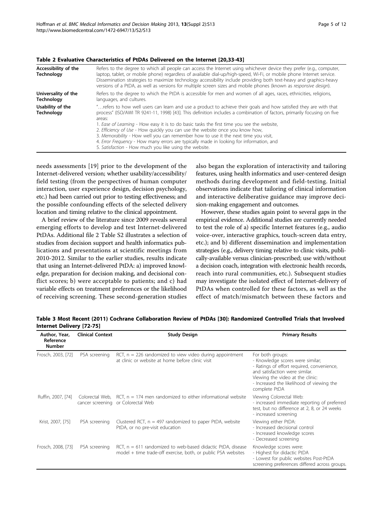<span id="page-6-0"></span>

| Table 2 Evaluative Characteristics of PtDAs Delivered on the Internet [20,33-43] |                                                                                                                                                                                                                                                                                                                                                                                                                                                                                          |  |  |  |
|----------------------------------------------------------------------------------|------------------------------------------------------------------------------------------------------------------------------------------------------------------------------------------------------------------------------------------------------------------------------------------------------------------------------------------------------------------------------------------------------------------------------------------------------------------------------------------|--|--|--|
| Accessibility of the<br><b>Technology</b>                                        | Refers to the degree to which all people can access the Internet using whichever device they prefer (e.g., computer,<br>laptop, tablet, or mobile phone) regardless of available dial-up/high-speed, Wi-Fi, or mobile phone Internet service.<br>Dissemination strategies to maximize technology accessibility include providing both text-heavy and graphics-heavy<br>versions of a PtDA, as well as versions for multiple screen sizes and mobile phones (known as responsive design). |  |  |  |
| Universality of the                                                              | Refers to the degree to which the PtDA is accessible for men and women of all ages, races, ethnicities, religions,                                                                                                                                                                                                                                                                                                                                                                       |  |  |  |
| <b>Technology</b>                                                                | languages, and cultures.                                                                                                                                                                                                                                                                                                                                                                                                                                                                 |  |  |  |
| Usability of the                                                                 | " refers to how well users can learn and use a product to achieve their goals and how satisfied they are with that                                                                                                                                                                                                                                                                                                                                                                       |  |  |  |
| Technoloav                                                                       | process" (ISO/AWI TR 9241-11, 1998) [43]. This definition includes a combination of factors, primarily focusing on five                                                                                                                                                                                                                                                                                                                                                                  |  |  |  |

1. Ease of Learning - How easy it is to do basic tasks the first time you see the website, 2. Efficiency of Use - How quickly you can use the website once you know how, 3. Memorability - How well you can remember how to use it the next time you visit, 4. Error Frequency - How many errors are typically made in looking for information, and

5. Satisfaction - How much you like using the website.

needs assessments [\[19\]](#page-12-0) prior to the development of the Internet-delivered version; whether usability/accessibility/ field testing (from the perspectives of human computer interaction, user experience design, decision psychology, etc.) had been carried out prior to testing effectiveness; and the possible confounding effects of the selected delivery location and timing relative to the clinical appointment.

areas:

A brief review of the literature since 2009 reveals several emerging efforts to develop and test Internet-delivered PtDAs. Additional file [2](#page-11-0) Table S2 illustrates a selection of studies from decision support and health informatics publications and presentations at scientific meetings from 2010-2012. Similar to the earlier studies, results indicate that using an Internet-delivered PtDA: a) improved knowledge, preparation for decision making, and decisional conflict scores; b) were acceptable to patients; and c) had variable effects on treatment preferences or the likelihood of receiving screening. These second-generation studies

also began the exploration of interactivity and tailoring features, using health informatics and user-centered design methods during development and field-testing. Initial observations indicate that tailoring of clinical information and interactive deliberative guidance may improve decision-making engagement and outcomes.

However, these studies again point to several gaps in the empirical evidence. Additional studies are currently needed to test the role of a) specific Internet features (e.g., audio voice-over, interactive graphics, touch-screen data entry, etc.); and b) different dissemination and implementation strategies (e.g., delivery timing relative to clinic visits, publically-available versus clinician-prescribed; use with/without a decision coach, integration with electronic health records, reach into rural communities, etc.). Subsequent studies may investigate the isolated effect of Internet-delivery of PtDAs when controlled for these factors, as well as the effect of match/mismatch between these factors and

| Table 3 Most Recent (2011) Cochrane Collaboration Review of PtDAs [30]: Randomized Controlled Trials that Involved |                  |              |                 |  |  |  |  |
|--------------------------------------------------------------------------------------------------------------------|------------------|--------------|-----------------|--|--|--|--|
| Internet Delivery [72-75]                                                                                          |                  |              |                 |  |  |  |  |
| Author Voor                                                                                                        | Clinical Contout | Chudy Docian | Drimany Doculte |  |  |  |  |

| Author, Year,<br>Reference<br><b>Number</b> | <b>Clinical Context</b> | <b>Study Design</b>                                                                                                            | <b>Primary Results</b>                                                                                                                                                                                                                 |
|---------------------------------------------|-------------------------|--------------------------------------------------------------------------------------------------------------------------------|----------------------------------------------------------------------------------------------------------------------------------------------------------------------------------------------------------------------------------------|
| Frosch, 2003, [72]                          | PSA screening           | RCT, $n = 226$ randomized to view video during appointment<br>at clinic or website at home before clinic visit                 | For both groups:<br>- Knowledge scores were similar;<br>- Ratings of effort required, convenience,<br>and satisfaction were similar.<br>Viewing the video at the clinic:<br>- Increased the likelihood of viewing the<br>complete PtDA |
| Ruffin, 2007, [74]                          |                         | Colorectal Web, $RCT$ , $n = 174$ men randomized to either informational website<br>cancer screening or Colorectal Web         | Viewing Colorectal Web:<br>- increased immediate reporting of preferred<br>test, but no difference at 2, 8, or 24 weeks<br>- increased screening                                                                                       |
| Krist, 2007, [75]                           | PSA screening           | Clustered RCT, $n = 497$ randomized to paper PtDA, website<br>PtDA, or no pre-visit education                                  | Viewing either PtDA:<br>- Increased decisional control<br>- Increased knowledge scores<br>- Decreased screening                                                                                                                        |
| Frosch, 2008, [73]                          | PSA screening           | RCT, $n = 611$ randomized to web-based didactic PtDA, disease<br>model + time trade-off exercise, both, or public PSA websites | Knowledge scores were:<br>- Highest for didactic PtDA<br>- Lowest for public websites Post-PtDA<br>screening preferences differed across groups.                                                                                       |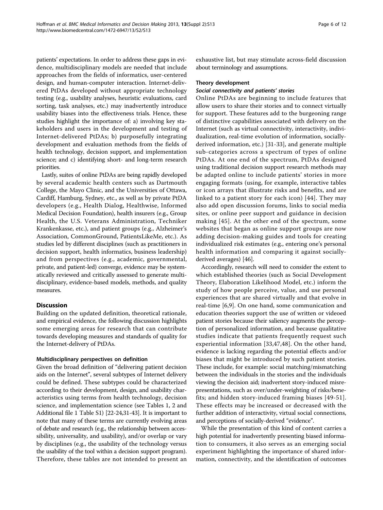patients' expectations. In order to address these gaps in evidence, multidisciplinary models are needed that include approaches from the fields of informatics, user-centered design, and human-computer interaction. Internet-delivered PtDAs developed without appropriate technology testing (e.g., usability analyses, heuristic evaluations, card sorting, task analyses, etc.) may inadvertently introduce usability biases into the effectiveness trials. Hence, these studies highlight the importance of: a) involving key stakeholders and users in the development and testing of Internet-delivered PtDAs; b) purposefully integrating development and evaluation methods from the fields of health technology, decision support, and implementation science; and c) identifying short- and long-term research priorities.

Lastly, suites of online PtDAs are being rapidly developed by several academic health centers such as Dartmouth College, the Mayo Clinic, and the Universities of Ottawa, Cardiff, Hamburg, Sydney, etc., as well as by private PtDA developers (e.g., Health Dialog, Healthwise, Informed Medical Decision Foundation), health insurers (e.g., Group Health, the U.S. Veterans Administration, Techniker Krankenkasse, etc.), and patient groups (e.g., Alzheimer's Association, CommonGround, PatientsLikeMe, etc.). As studies led by different disciplines (such as practitioners in decision support, health informatics, business leadership) and from perspectives (e.g., academic, governmental, private, and patient-led) converge, evidence may be systematically reviewed and critically assessed to generate multidisciplinary, evidence-based models, methods, and quality measures.

#### **Discussion**

Building on the updated definition, theoretical rationale, and empirical evidence, the following discussion highlights some emerging areas for research that can contribute towards developing measures and standards of quality for the Internet-delivery of PtDAs.

#### Multidisciplinary perspectives on definition

Given the broad definition of "delivering patient decision aids on the Internet", several subtypes of Internet delivery could be defined. These subtypes could be characterized according to their development, design, and usability characteristics using terms from health technology, decision science, and implementation science (see Tables [1,](#page-5-0) [2](#page-6-0) and Additional file [1](#page-11-0) Table S1) [\[22-24,31](#page-12-0)-[43](#page-12-0)]. It is important to note that many of these terms are currently evolving areas of debate and research (e.g., the relationship between accessibility, universality, and usability), and/or overlap or vary by disciplines (e.g., the usability of the technology versus the usability of the tool within a decision support program). Therefore, these tables are not intended to present an exhaustive list, but may stimulate across-field discussion about terminology and assumptions.

#### Theory development

#### Social connectivity and patients' stories

Online PtDAs are beginning to include features that allow users to share their stories and to connect virtually for support. These features add to the burgeoning range of distinctive capabilities associated with delivery on the Internet (such as virtual connectivity, interactivity, individualization, real-time evolution of information, sociallyderived information, etc.) [\[31](#page-12-0)-[33\]](#page-12-0), and generate multiple sub-categories across a spectrum of types of online PtDAs. At one end of the spectrum, PtDAs designed using traditional decision support research methods may be adapted online to include patients' stories in more engaging formats (using, for example, interactive tables or icon arrays that illustrate risks and benefits, and are linked to a patient story for each icon) [\[44\]](#page-12-0). They may also add open discussion forums, links to social media sites, or online peer support and guidance in decision making [[45](#page-12-0)]. At the other end of the spectrum, some websites that began as online support groups are now adding decision-making guides and tools for creating individualized risk estimates (e.g., entering one's personal health information and comparing it against sociallyderived averages) [\[46](#page-12-0)].

Accordingly, research will need to consider the extent to which established theories (such as Social Development Theory, Elaboration Likelihood Model, etc.) inform the study of how people perceive, value, and use personal experiences that are shared virtually and that evolve in real-time [[6,9](#page-11-0)]. On one hand, some communication and education theories support the use of written or videoed patient stories because their saliency augments the perception of personalized information, and because qualitative studies indicate that patients frequently request such experiential information [[33,47,48\]](#page-12-0). On the other hand, evidence is lacking regarding the potential effects and/or biases that might be introduced by such patient stories. These include, for example: social matching/mismatching between the individuals in the stories and the individuals viewing the decision aid; inadvertent story-induced misrepresentations, such as over/under-weighting of risks/benefits; and hidden story-induced framing biases [\[49-51](#page-12-0)]. These effects may be increased or decreased with the further addition of interactivity, virtual social connections, and perceptions of socially-derived "evidence".

While the presentation of this kind of content carries a high potential for inadvertently presenting biased information to consumers, it also serves as an emerging social experiment highlighting the importance of shared information, connectivity, and the identification of outcomes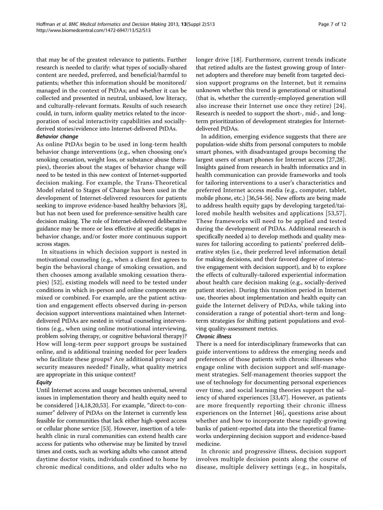that may be of the greatest relevance to patients. Further research is needed to clarify: what types of socially-shared content are needed, preferred, and beneficial/harmful to patients; whether this information should be monitored/ managed in the context of PtDAs; and whether it can be collected and presented in neutral, unbiased, low literacy, and culturally-relevant formats. Results of such research could, in turn, inform quality metrics related to the incorporation of social interactivity capabilities and sociallyderived stories/evidence into Internet-delivered PtDAs.

#### Behavior change

As online PtDAs begin to be used in long-term health behavior change interventions (e.g., when choosing one's smoking cessation, weight loss, or substance abuse therapies), theories about the stages of behavior change will need to be tested in this new context of Internet-supported decision making. For example, the Trans-Theoretical Model related to Stages of Change has been used in the development of Internet-delivered resources for patients seeking to improve evidence-based healthy behaviors [\[8](#page-11-0)], but has not been used for preference-sensitive health care decision making. The role of Internet-delivered deliberative guidance may be more or less effective at specific stages in behavior change, and/or foster more continuous support across stages.

In situations in which decision support is nested in motivational counseling (e.g., when a client first agrees to begin the behavioral change of smoking cessation, and then chooses among available smoking cessation therapies) [[52](#page-12-0)], existing models will need to be tested under conditions in which in-person and online components are mixed or combined. For example, are the patient activation and engagement effects observed during in-person decision support interventions maintained when Internetdelivered PtDAs are nested in virtual counseling interventions (e.g., when using online motivational interviewing, problem solving therapy, or cognitive behavioral therapy)? How will long-term peer support groups be sustained online, and is additional training needed for peer leaders who facilitate these groups? Are additional privacy and security measures needed? Finally, what quality metrics are appropriate in this unique context?

### **Equity**

Until Internet access and usage becomes universal, several issues in implementation theory and health equity need to be considered [\[14,18,20,53](#page-12-0)]. For example, "direct-to-consumer" delivery of PtDAs on the Internet is currently less feasible for communities that lack either high-speed access or cellular phone service [[53](#page-12-0)]. However, insertion of a telehealth clinic in rural communities can extend health care access for patients who otherwise may be limited by travel times and costs, such as working adults who cannot attend daytime doctor visits, individuals confined to home by chronic medical conditions, and older adults who no longer drive [\[18\]](#page-12-0). Furthermore, current trends indicate that retired adults are the fastest growing group of Internet adopters and therefore may benefit from targeted decision support programs on the Internet, but it remains unknown whether this trend is generational or situational (that is, whether the currently-employed generation will also increase their Internet use once they retire) [[24\]](#page-12-0). Research is needed to support the short-, mid-, and longterm prioritization of development strategies for Internetdelivered PtDAs.

In addition, emerging evidence suggests that there are population-wide shifts from personal computers to mobile smart phones, with disadvantaged groups becoming the largest users of smart phones for Internet access [\[27,28](#page-12-0)]. Insights gained from research in health informatics and in health communication can provide frameworks and tools for tailoring interventions to a user's characteristics and preferred Internet access media (e.g., computer, tablet, mobile phone, etc.) [[36,54-56\]](#page-12-0). New efforts are being made to address health equity gaps by developing targeted/tailored mobile health websites and applications [[53](#page-12-0),[57](#page-12-0)]. These frameworks will need to be applied and tested during the development of PtDAs. Additional research is specifically needed a) to develop methods and quality measures for tailoring according to patients' preferred deliberative styles (i.e., their preferred level information detail for making decisions, and their favored degree of interactive engagement with decision support), and b) to explore the effects of culturally-tailored experiential information about health care decision making (e.g., socially-derived patient stories). During this transition period in Internet use, theories about implementation and health equity can guide the Internet delivery of PtDAs, while taking into consideration a range of potential short-term and longterm strategies for shifting patient populations and evolving quality-assessment metrics.

#### Chronic illness

There is a need for interdisciplinary frameworks that can guide interventions to address the emerging needs and preferences of those patients with chronic illnesses who engage online with decision support and self-management strategies. Self-management theories support the use of technology for documenting personal experiences over time, and social learning theories support the saliency of shared experiences [\[33,47](#page-12-0)]. However, as patients are more frequently reporting their chronic illness experiences on the Internet [[46](#page-12-0)], questions arise about whether and how to incorporate these rapidly-growing banks of patient-reported data into the theoretical frameworks underpinning decision support and evidence-based medicine.

In chronic and progressive illness, decision support involves multiple decision points along the course of disease, multiple delivery settings (e.g., in hospitals,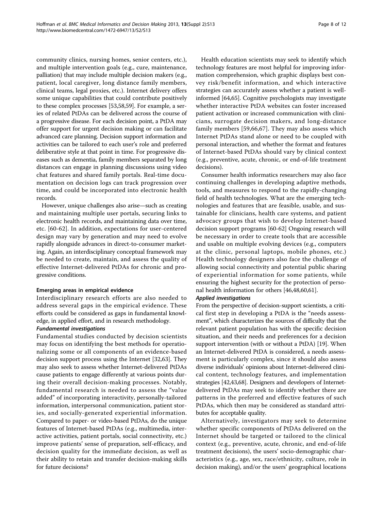community clinics, nursing homes, senior centers, etc.), and multiple intervention goals (e.g., cure, maintenance, palliation) that may include multiple decision makers (e.g., patient, local caregiver, long distance family members, clinical teams, legal proxies, etc.). Internet delivery offers some unique capabilities that could contribute positively to these complex processes [\[53,58](#page-12-0),[59](#page-12-0)]. For example, a series of related PtDAs can be delivered across the course of a progressive disease. For each decision point, a PtDA may offer support for urgent decision making or can facilitate advanced care planning. Decision support information and activities can be tailored to each user's role and preferred deliberative style at that point in time. For progressive diseases such as dementia, family members separated by long distances can engage in planning discussions using video chat features and shared family portals. Real-time documentation on decision logs can track progression over time, and could be incorporated into electronic health records.

However, unique challenges also arise—such as creating and maintaining multiple user portals, securing links to electronic health records, and maintaining data over time, etc. [[60-62\]](#page-12-0). In addition, expectations for user-centered design may vary by generation and may need to evolve rapidly alongside advances in direct-to-consumer marketing. Again, an interdisciplinary conceptual framework may be needed to create, maintain, and assess the quality of effective Internet-delivered PtDAs for chronic and progressive conditions.

#### Emerging areas in empirical evidence

Interdisciplinary research efforts are also needed to address several gaps in the empirical evidence. These efforts could be considered as gaps in fundamental knowledge, in applied effort, and in research methodology.

#### Fundamental investigations

Fundamental studies conducted by decision scientists may focus on identifying the best methods for operationalizing some or all components of an evidence-based decision support process using the Internet [[32,63\]](#page-12-0). They may also seek to assess whether Internet-delivered PtDAs cause patients to engage differently at various points during their overall decision-making processes. Notably, fundamental research is needed to assess the "value added" of incorporating interactivity, personally-tailored information, interpersonal communication, patient stories, and socially-generated experiential information. Compared to paper- or video-based PtDAs, do the unique features of Internet-based PtDAs (e.g., multimedia, interactive activities, patient portals, social connectivity, etc.) improve patients' sense of preparation, self-efficacy, and decision quality for the immediate decision, as well as their ability to retain and transfer decision-making skills for future decisions?

Health education scientists may seek to identify which technology features are most helpful for improving information comprehension, which graphic displays best convey risk/benefit information, and which interactive strategies can accurately assess whether a patient is wellinformed [[64,](#page-12-0)[65\]](#page-13-0). Cognitive psychologists may investigate whether interactive PtDA websites can foster increased patient activation or increased communication with clinicians, surrogate decision makers, and long-distance family members [\[59,](#page-12-0)[66,67](#page-13-0)]. They may also assess which Internet PtDAs stand alone or need to be coupled with personal interaction, and whether the format and features of Internet-based PtDAs should vary by clinical context (e.g., preventive, acute, chronic, or end-of-life treatment decisions).

Consumer health informatics researchers may also face continuing challenges in developing adaptive methods, tools, and measures to respond to the rapidly-changing field of health technologies. What are the emerging technologies and features that are feasible, usable, and sustainable for clinicians, health care systems, and patient advocacy groups that wish to develop Internet-based decision support programs [[60-62\]](#page-12-0) Ongoing research will be necessary in order to create tools that are accessible and usable on multiple evolving devices (e.g., computers at the clinic, personal laptops, mobile phones, etc.) Health technology designers also face the challenge of allowing social connectivity and potential public sharing of experiential information for some patients, while ensuring the highest security for the protection of personal health information for others [[46,48,60,61](#page-12-0)].

#### Applied investigations

From the perspective of decision-support scientists, a critical first step in developing a PtDA is the "needs assessment", which characterizes the sources of difficulty that the relevant patient population has with the specific decision situation, and their needs and preferences for a decision support intervention (with or without a PtDA) [\[19\]](#page-12-0). When an Internet-delivered PtDA is considered, a needs assessment is particularly complex, since it should also assess diverse individuals' opinions about Internet-delivered clinical content, technology features, and implementation strategies [[42,43,](#page-12-0)[68](#page-13-0)]. Designers and developers of Internetdelivered PtDAs may seek to identify whether there are patterns in the preferred and effective features of such PtDAs, which then may be considered as standard attributes for acceptable quality.

Alternatively, investigators may seek to determine whether specific components of PtDAs delivered on the Internet should be targeted or tailored to the clinical context (e.g., preventive, acute, chronic, and end-of-life treatment decisions), the users' socio-demographic characteristics (e.g., age, sex, race/ethnicity, culture, role in decision making), and/or the users' geographical locations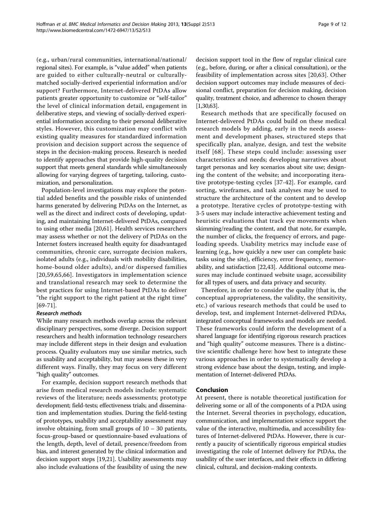(e.g., urban/rural communities, international/national/ regional sites). For example, is "value added" when patients are guided to either culturally-neutral or culturallymatched socially-derived experiential information and/or support? Furthermore, Internet-delivered PtDAs allow patients greater opportunity to customize or "self-tailor" the level of clinical information detail, engagement in deliberative steps, and viewing of socially-derived experiential information according to their personal deliberative styles. However, this customization may conflict with existing quality measures for standardized information provision and decision support across the sequence of

steps in the decision-making process. Research is needed to identify approaches that provide high-quality decision support that meets general standards while simultaneously allowing for varying degrees of targeting, tailoring, customization, and personalization.

Population-level investigations may explore the potential added benefits and the possible risks of unintended harms generated by delivering PtDAs on the Internet, as well as the direct and indirect costs of developing, updating, and maintaining Internet-delivered PtDAs, compared to using other media [[20,61\]](#page-12-0). Health services researchers may assess whether or not the delivery of PtDAs on the Internet fosters increased health equity for disadvantaged communities, chronic care, surrogate decision makers, isolated adults (e.g., individuals with mobility disabilities, home-bound older adults), and/or dispersed families [[20,59](#page-12-0),[65](#page-13-0),[66\]](#page-13-0). Investigators in implementation science and translational research may seek to determine the best practices for using Internet-based PtDAs to deliver "the right support to the right patient at the right time" [[69-71\]](#page-13-0).

#### Research methods

While many research methods overlap across the relevant disciplinary perspectives, some diverge. Decision support researchers and health information technology researchers may include different steps in their design and evaluation process. Quality evaluators may use similar metrics, such as usability and acceptability, but may assess these in very different ways. Finally, they may focus on very different "high quality" outcomes.

For example, decision support research methods that arise from medical research models include: systematic reviews of the literature; needs assessments; prototype development; field-tests; effectiveness trials; and dissemination and implementation studies. During the field-testing of prototypes, usability and acceptability assessment may involve obtaining, from small groups of 10 – 30 patients, focus-group-based or questionnaire-based evaluations of the length, depth, level of detail, presence/freedom from bias, and interest generated by the clinical information and decision support steps [[19](#page-12-0),[21](#page-12-0)]. Usability assessments may also include evaluations of the feasibility of using the new decision support tool in the flow of regular clinical care (e.g., before, during, or after a clinical consultation), or the feasibility of implementation across sites [[20,63](#page-12-0)]. Other decision support outcomes may include measures of decisional conflict, preparation for decision making, decision quality, treatment choice, and adherence to chosen therapy [[1](#page-11-0)[,30,63](#page-12-0)].

Research methods that are specifically focused on Internet-delivered PtDAs could build on these medical research models by adding, early in the needs assessment and development phases, structured steps that specifically plan, analyze, design, and test the website itself [[68](#page-13-0)]. These steps could include: assessing user characteristics and needs; developing narratives about target personas and key scenarios about site use; designing the content of the website; and incorporating iterative prototype-testing cycles [[37](#page-12-0)-[42\]](#page-12-0). For example, card sorting, wireframes, and task analyses may be used to structure the architecture of the content and to develop a prototype. Iterative cycles of prototype-testing with 3-5 users may include interactive achievement testing and heuristic evaluations that track eye movements when skimming/reading the content, and that note, for example, the number of clicks, the frequency of errors, and pageloading speeds. Usability metrics may include ease of learning (e.g., how quickly a new user can complete basic tasks using the site), efficiency, error frequency, memorability, and satisfaction [[22,43\]](#page-12-0). Additional outcome measures may include continued website usage, accessibility for all types of users, and data privacy and security.

Therefore, in order to consider the quality (that is, the conceptual appropriateness, the validity, the sensitivity, etc.) of various research methods that could be used to develop, test, and implement Internet-delivered PtDAs, integrated conceptual frameworks and models are needed. These frameworks could inform the development of a shared language for identifying rigorous research practices and "high quality" outcome measures. There is a distinctive scientific challenge here: how best to integrate these various approaches in order to systematically develop a strong evidence base about the design, testing, and implementation of Internet-delivered PtDAs.

### Conclusion

At present, there is notable theoretical justification for delivering some or all of the components of a PtDA using the Internet. Several theories in psychology, education, communication, and implementation science support the value of the interactive, multimedia, and accessibility features of Internet-delivered PtDAs. However, there is currently a paucity of scientifically rigorous empirical studies investigating the role of Internet delivery for PtDAs, the usability of the user interfaces, and their effects in differing clinical, cultural, and decision-making contexts.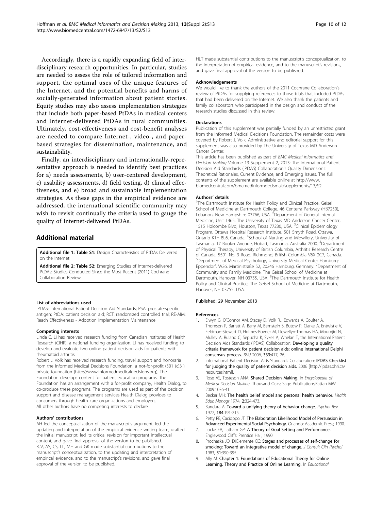<span id="page-11-0"></span>Accordingly, there is a rapidly expanding field of interdisciplinary research opportunities. In particular, studies are needed to assess the role of tailored information and support, the optimal uses of the unique features of the Internet, and the potential benefits and harms of socially-generated information about patient stories. Equity studies may also assess implementation strategies that include both paper-based PtDAs in medical centers and Internet-delivered PtDAs in rural communities. Ultimately, cost-effectiveness and cost-benefit analyses are needed to compare Internet-, video-, and paperbased strategies for dissemination, maintenance, and sustainability.

Finally, an interdisciplinary and internationally-representative approach is needed to identify best practices for a) needs assessments, b) user-centered development, c) usability assessments, d) field testing, d) clinical effectiveness, and e) broad and sustainable implementation strategies. As these gaps in the empirical evidence are addressed, the international scientific community may wish to revisit continually the criteria used to gauge the quality of Internet-delivered PtDAs.

### Additional material

[Additional file 1: T](http://www.biomedcentral.com/content/supplementary/1472-6947-13-S2-S13-S1.pdf)able S1: Design Characteristics of PtDAs Delivered on the Internet

[Additional file 2: T](http://www.biomedcentral.com/content/supplementary/1472-6947-13-S2-S13-S2.pdf)able S2: Emerging Studies of Internet-delivered PtDAs: Studies Conducted Since the Most Recent (2011) Cochrane Collaboration Review

#### List of abbreviations used

IPDAS: International Patient Decision Aid Standards; PSA: prostate-specific antigen; PtDA: patient decision aid; RCT: randomized controlled trial; RE-AIM: Reach Effectiveness - Adoption Implementation Maintenance

#### Competing interests

Linda C. Li has received research funding from Canadian Institutes of Health Research (CIHR), a national funding organization. Li has received funding to develop and evaluate two online patient decision aids for patients with rheumatoid arthritis.

Robert J. Volk has received research funding, travel support and honoraria from the Informed Medical Decisions Foundation, a not-for-profit (501 (c)3 ) private foundation ([http://www.informedmedicaldecisions.org\)](http://www.informedmedicaldecisions.org). The Foundation develops content for patient education programs. The Foundation has an arrangement with a for-profit company, Health Dialog, to co-produce these programs. The programs are used as part of the decision support and disease management services Health Dialog provides to consumers through health care organizations and employers. All other authors have no competing interests to declare.

#### Authors' contributions

AH led the conceptualization of the manuscript's argument, led the updating and interpretation of the empirical evidence writing team, drafted the initial manuscript, led its critical revision for important intellectual content, and gave final approval of the version to be published. RJV, AS, CS, LL, MH and GK made substantial contributions to the manuscript's conceptualization, to the updating and interpretation of empirical evidence, and to the manuscript's revisions, and gave final approval of the version to be published.

HLT made substantial contributions to the manuscript's conceptualization, to the interpretation of empirical evidence, and to the manuscript's revisions, and gave final approval of the version to be published.

#### Acknowledgements

We would like to thank the authors of the 2011 Cochrane Collaboration's review of PtDAs for supplying references to those trials that included PtDAs that had been delivered on the Internet. We also thank the patients and family collaborators who participated in the design and conduct of the research studies discussed in this review.

#### Declarations

Publication of this supplement was partially funded by an unrestricted grant from the Informed Medical Decisions Foundation. The remainder costs were covered by Robert J. Volk. Administrative and editorial support for this supplement was also provided by The University of Texas MD Anderson Cancer Center.

This article has been published as part of BMC Medical Informatics and Decision Making Volume 13 Supplement 2, 2013: The International Patient Decision Aid Standards (IPDAS) Collaboration's Quality Dimensions: Theoretical Rationales, Current Evidence, and Emerging Issues. The full contents of the supplement are available online at [http://www.](http://www.biomedcentral.com/bmcmedinformdecismak/supplements/13/S2) [biomedcentral.com/bmcmedinformdecismak/supplements/13/S2](http://www.biomedcentral.com/bmcmedinformdecismak/supplements/13/S2).

#### Authors' details <sup>1</sup>

<sup>1</sup>The Dartmouth Institute for Health Policy and Clinical Practice, Geisel School of Medicine at Dartmouth College, 46 Centerra Parkway (HB7250), Lebanon, New Hampshire 03766, USA. <sup>2</sup>Department of General Internal Medicine, Unit 1465, The University of Texas MD Anderson Cancer Center, 1515 Holcombe Blvd, Houston, Texas 77230, USA. <sup>3</sup>Clinical Epidemiology Program, Ottawa Hospital Research Institute, 501 Smyth Road, Ottawa, Ontario K1H 8L6, Canada. <sup>4</sup>School of Nursing and Midwifery, University of Tasmania, 17 Booker Avenue, Hobart, Tasmania, Australia 7000. <sup>5</sup>Department of Physical Therapy, University of British Columbia, Arthritis Research Centre of Canada, 5591 No. 3 Road, Richmond, British Columbia V6X 2C7, Canada. 6 Department of Medical Psychology, University Medical Center Hamburg-Eppendorf, W26, Martinistraße 52, 20246 Hamburg, Germany. <sup>7</sup>Department of Community and Family Medicine, The Geisel School of Medicine at Dartmouth, Hanover, NH 03755, USA. <sup>8</sup>The Dartmouth Institute for Health Policy and Clinical Practice, The Geisel School of Medicine at Dartmouth, Hanover, NH 03755, USA.

#### Published: 29 November 2013

#### References

- 1. Elwyn G, O'Connor AM, Stacey D, Volk RJ, Edwards A, Coulter A, Thomson R, Barratt A, Barry M, Bernstein S, Butow P, Clarke A, Entwistle V, Feldman-Stewart D, Holmes-Rovner M, Llewellyn-Thomas HA, Moumjid N, Mulley A, Ruland C, Sepucha K, Sykes A, Whelan T, the International Patient Decision Aids Standards (IPDAS) Collaboration: [Developing a quality](http://www.ncbi.nlm.nih.gov/pubmed/16908462?dopt=Abstract) [criteria framework for patient decision aids: online international Delphi](http://www.ncbi.nlm.nih.gov/pubmed/16908462?dopt=Abstract) [consensus process.](http://www.ncbi.nlm.nih.gov/pubmed/16908462?dopt=Abstract) BMJ 2006, 333:417, 26.
- 2. International Patient Decision Aids Standards Collaboration: **IPDAS Checklist** for judging the quality of patient decision aids. 2006 [\[http://ipdas.ohri.ca/](http://ipdas.ohri.ca/resources.html) [resources.html\]](http://ipdas.ohri.ca/resources.html).
- 3. Rose AS, Tosteson ANA: Shared Decision Making. In Encyclopedia of Medical Decision Making. Thousand Oaks: Sage Publications;Kattan MW 2009:1036-41.
- 4. Becker MH: The health belief model and personal health behavior. Health Educ Monogr 1974, 2:324-473.
- 5. Bandura A: Toward a unifying theory of behavior change. Psychol Rev 1977, 184:191-215.
- 6. Petty RE, Cacioppo JT: The Elaboration Likelihood Model of Persuasion in Advanced Experimental Social Psychology. Orlando: Academic Press; 1990.
- 7. Locke EA, Latham GP: A Theory of Goal Setting and Performance. Englewood Cliffs: Prentice Hall; 1990.
- 8. Prochaska JO, DiClemente CC: [Stages and processes of self-change for](http://www.ncbi.nlm.nih.gov/pubmed/6863699?dopt=Abstract) [smoking: Toward an integrative model of change.](http://www.ncbi.nlm.nih.gov/pubmed/6863699?dopt=Abstract) J Consult Clin Psychol 1983, 51:390-395.
- 9. Ally M: Chapter 1: Foundations of Educational Theory for Online Learning. Theory and Practice of Online Learning. In Educational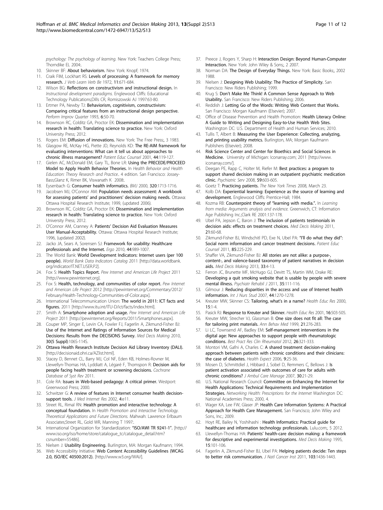<span id="page-12-0"></span>psychology: The psychology of learning. New York: Teachers College Press; Thorndike FL 2004:

- 10. Skinner BF: About behaviorism. New York: Knopf; 1974.
- 11. Craik FIM, Lockhart RS: Levels of processing: A framework for memory research. J Verb Learn Verb Be 1972, 11:671-684.
- 12. Wilson BG: Reflections on constructivism and instructional design. In Instructional development paradigms. Englewood Cliffs: Educational Technology Publications;Dills CR, Romiszowski AJ 1997:63-80.
- 13. Ertmer PA, Newby TJ: Behaviorism, cognitivism, constructivism: Comparing critical features from an instructional design perspective. Perform Improv Quarter 1993, 6:50-70.
- 14. Brownson RC, Colditz GA, Proctor EK: Dissemination and implementation research in health: Translating science to practice. New York: Oxford University Press; 2012.
- 15. Rogers EM: Diffusion of innovations. New York: The Free Press;, 3 1983.
- 16. Glasgow RE, McKay HG, Piette JD, Reynolds KD: [The RE-AIM framework for](http://www.ncbi.nlm.nih.gov/pubmed/11479052?dopt=Abstract) [evaluating interventions: What can it tell us about approaches to](http://www.ncbi.nlm.nih.gov/pubmed/11479052?dopt=Abstract) [chronic illness management?](http://www.ncbi.nlm.nih.gov/pubmed/11479052?dopt=Abstract) Patient Educ Counsel 2001, 44:119-127.
- 17. Gielen AC, McDonald EM, Gary TL, Bone LR: Using the PRECEDE/PROCEED Model to Apply Health Behavior Theories. In Health Behavior and Health Education: Theory Research and Practice.. 4 edition. San Francisco: Jossey-Bass;Glanz K, Rimer BK, Viswanath K 2008:.
- 18. Eysenbach G: [Consumer health informatics.](http://www.ncbi.nlm.nih.gov/pubmed/10864552?dopt=Abstract) BMJ 2000, 320:1713-1716.
- 19. Jacobsen MJ, O'Connor AM: Population needs assessment: A workbook for assessing patients' and practitioners' decision making needs. Ottawa: Ottawa Hospital Research Institute; 1999, (updated 2006).
- 20. Brownson RC, Colditz GA, Proctor EK: Dissemination and implementation research in health: Translating science to practice. New York: Oxford University Press; 2012.
- 21. O'Connor AM, Cranney A: Patients' Decision Aid Evaluation Measures User Manual-Acceptability. Ottawa: Ottawa Hospital Research Institute; 1996, (updated 2002).
- 22. Jacko JA, Sears A, Sorensen SJ: [Framework for usability: Healthcare](http://www.ncbi.nlm.nih.gov/pubmed/11693249?dopt=Abstract) [professionals and the Internet.](http://www.ncbi.nlm.nih.gov/pubmed/11693249?dopt=Abstract) Ergo 2010, 44:989-1007.
- 23. The World Bank: World Development Indicators: Internet users (per 100 people). World Bank Data Indicators Catalog 2011 [[http://data.worldbank.](http://data.worldbank.org/indicator/IT.NET.USER.P2) [org/indicator/IT.NET.USER.P2\]](http://data.worldbank.org/indicator/IT.NET.USER.P2).
- 24. Fox S: Health Topics Report. Pew Internet and American Life Project 2011 [\[http://www.pewinternet.org](http://www.pewinternet.org)].
- 25. Fox S: Health, technology, and communities of color report. Pew Internet and American Life Project 2012 [[http://pewinternet.org/Commentary/2012/](http://pewinternet.org/Commentary/2012/February/Health-Technology-Communities-of-Color.aspx) [February/Health-Technology-Communities-of-Color.aspx\]](http://pewinternet.org/Commentary/2012/February/Health-Technology-Communities-of-Color.aspx).
- 26. International Telecommunication Union: The world in 2011: ICT facts and figures. 2011 [\[http://www.itu.int/ITU-D/ict/facts/index.html\]](http://www.itu.int/ITU-D/ict/facts/index.html).
- 27. Smith A: Smartphone adoption and usage. Pew Internet and American Life Project 2011 [[http://pewinternet.org/Reports/2011/Smartphones.aspx\]](http://pewinternet.org/Reports/2011/Smartphones.aspx).
- 28. Couper MP, Singer E, Levin CA, Fowler FJ, Fagerlin A, Zikmund-Fisher BJ: [Use of the Internet and Ratings of Information Sources for Medical](http://www.ncbi.nlm.nih.gov/pubmed/20881159?dopt=Abstract) [Decisions: Results from the DECISIONS Survey.](http://www.ncbi.nlm.nih.gov/pubmed/20881159?dopt=Abstract) Med Decis Making 2010, 30(5 Suppl):106S-114S.
- 29. Ottawa Health Research Institute Decision Aid Library Inventory (DALI). [\[http://decisionaid.ohri.ca/AZlist.html](http://decisionaid.ohri.ca/AZlist.html)].
- 30. Stacey D, Bennet CL, Barry MJ, Col NF, Eden KB, Holmes-Rovner M, Llewellyn-Thomas HA, Lyddiatt A, Légaré F, Thomspon R: [Decision aids for](http://www.ncbi.nlm.nih.gov/pubmed/21975733?dopt=Abstract) [people facing health treatment or screening decisions.](http://www.ncbi.nlm.nih.gov/pubmed/21975733?dopt=Abstract) Cochrane Database of Syst Rev 2011.
- 31. Cole RA: Issues in Web-based pedagogy: A critical primer. Westport: Greenwood Press; 2000.
- 32. Schwitzer G: [A review of features in Internet consumer health decision](http://www.ncbi.nlm.nih.gov/pubmed/12554558?dopt=Abstract)[support tools.](http://www.ncbi.nlm.nih.gov/pubmed/12554558?dopt=Abstract) J Med Internet Res 2002, 4:e11.
- 33. Street RL, Rimal RN: Health promotion and interactive technology: A conceptual foundation. In Health Promotion and Interactive Technology. Theoretical Applications and Future Directions. Mahwah: Lawrence Erlbaum Associates;Street RL, Gold WR, Manning T 1997:.
- 34. International Organization for Standardization: "ISO/AWI TR 9241-1". [[http://](http://www.iso.org/iso/home/store/catalogue_tc/catalogue_detail.htm?csnumber=55486) [www.iso.org/iso/home/store/catalogue\\_tc/catalogue\\_detail.htm?](http://www.iso.org/iso/home/store/catalogue_tc/catalogue_detail.htm?csnumber=55486) [csnumber=55486](http://www.iso.org/iso/home/store/catalogue_tc/catalogue_detail.htm?csnumber=55486)].
- 35. Nielsen J: Usability Engineering. Burlington, MA: Morgan Kaufmann; 1994.
- 36. Web Accessibility Initiative: Web Content Accessibility Guidelines (WCAG 2.0, ISO/IEC 40500:2012). [[http://www.w3.org/WAI/\]](http://www.w3.org/WAI/).
- 37. Preece J, Rogers Y, Sharp H: Interaction Design: Beyond Human-Computer Interaction. New York: John Wiley & Sons;, 2 2007.
- 38. Norman DA: The Design of Everyday Things. New York: Basic Books;, 2002 1988.
- 39. Nielsen J: Designing Web Usability: The Practice of Simplicity. San Francisco: New Riders Publishing; 1999.
- 40. Krug S: Don't Make Me Think! A Common Sense Approach to Web Usability. San Francisco: New Riders Publishing; 2006.
- 41. Reddish J: Letting Go of the Words: Writing Web Content that Works. San Francisco: Morgan Kaufmann (Elsevier); 2007.
- 42. Office of Disease Prevention and Health Promotion: Health Literacy Online: A Guide to Writing and Designing Easy-to-Use Health Web Sites. Washington DC: U.S. Department of Health and Human Services; 2010.
- 43. Tullis T, Albert B: Measuring the User Experience: Collecting, analyzing, and printing usability metrics. Burlington, MA; Morgan Kaufmann Publishers (Elsevier); 2008.
- 44. Risk Science Center and Center for Bioethics and Social Sciences in Medicine. University of Michigan: Iconarray.com; 2011 [\[http://www.](http://www.iconarray.com/) [iconarray.com/\]](http://www.iconarray.com/).
- 45. Deegan PE, Rapp C, Holter M, Riefer M: [Best practices: a program to](http://www.ncbi.nlm.nih.gov/pubmed/18511580?dopt=Abstract) [support shared decision making in an outpatient psychiatric medication](http://www.ncbi.nlm.nih.gov/pubmed/18511580?dopt=Abstract) [clinic.](http://www.ncbi.nlm.nih.gov/pubmed/18511580?dopt=Abstract) Psychiatric Serv 2008, 59:603-605.
- 46. Goetz T: Practicing patients. The New York Times 2008. March 23.
- 47. Kolb DA: Experiential learning: Experience as the source of learning and development. Englewood Cliffs: Prentice-Hall; 1984.
- 48. Kozma RB: Counterpoint theory of "learning with media.". In Learning from media: Arguments analysis and evidence. Greenwich, CT: Information Age Publishing Inc.;Clark RE 2001:137-178.
- 49. Ubel PA, Jepson C, Baron J: [The inclusion of patients testimonials in](http://www.ncbi.nlm.nih.gov/pubmed/11206948?dopt=Abstract) [decision aids: effects on treatment choices.](http://www.ncbi.nlm.nih.gov/pubmed/11206948?dopt=Abstract) Med Decis Making 2011, 21:60-68.
- Zikmund-Fisher BJ, Windschitl PD, Exe N, Ubel PA: "I'[ll do what they did](http://www.ncbi.nlm.nih.gov/pubmed/21367557?dopt=Abstract)": [Social norm information and cancer treatment decisions.](http://www.ncbi.nlm.nih.gov/pubmed/21367557?dopt=Abstract) Patient Educ Counsel 2011, 85:225-229.
- 51. Shaffer VA, Zikmund-Fisher BJ: [All stories are not alike: a purpose-,](http://www.ncbi.nlm.nih.gov/pubmed/23065418?dopt=Abstract) [content-, and valence-based taxonomy of patient narratives in decision](http://www.ncbi.nlm.nih.gov/pubmed/23065418?dopt=Abstract) [aids.](http://www.ncbi.nlm.nih.gov/pubmed/23065418?dopt=Abstract) Med Decis Making 2013, 33:4-13.
- 52. Ferron JC, Brunette MF, McHugo GJ, Devitt TS, Martin WM, Drake RE: [Developing a quit smoking website that is usable by people with severe](http://www.ncbi.nlm.nih.gov/pubmed/22020840?dopt=Abstract) [mental illness.](http://www.ncbi.nlm.nih.gov/pubmed/22020840?dopt=Abstract) Psychiatr Rehabil J 2011, 35:111-116.
- 53. Gilmour J: [Reducing disparities in the access and use of Internet health](http://www.ncbi.nlm.nih.gov/pubmed/16828775?dopt=Abstract) [information.](http://www.ncbi.nlm.nih.gov/pubmed/16828775?dopt=Abstract) Int J Nurs Stud 2007, 44:1270-1278.
- 54. Kreuter MW, Skinner CS: [Tailoring, what](http://www.ncbi.nlm.nih.gov/pubmed/10788196?dopt=Abstract)'s in a name? Health Educ Res 2000, 15:1-4.
- 55. Pasick RJ: [Response to Kreuter and Skinner.](http://www.ncbi.nlm.nih.gov/pubmed/11525396?dopt=Abstract) Health Educ Res 2001, 16:503-505.
- 56. Kreuter MW, Strecher VJ, Glassman B: [One size does not fit all: The case](http://www.ncbi.nlm.nih.gov/pubmed/10721433?dopt=Abstract) [for tailoring print materials.](http://www.ncbi.nlm.nih.gov/pubmed/10721433?dopt=Abstract) Ann Behav Med 1999, 21:276-283.
- 57. Li LC, Townsend AF, Badley EM: [Self-management interventions in the](http://www.ncbi.nlm.nih.gov/pubmed/22867929?dopt=Abstract) [digital age: New approaches to support people with rheumatologic](http://www.ncbi.nlm.nih.gov/pubmed/22867929?dopt=Abstract) [conditions.](http://www.ncbi.nlm.nih.gov/pubmed/22867929?dopt=Abstract) Best Pract Res Clin Rheumatol 2012, 26:321-333.
- 58. Montori VM, Gafni A, Charles C: [A shared treatment decision-making](http://www.ncbi.nlm.nih.gov/pubmed/16436159?dopt=Abstract) [approach between patients with chronic conditions and their clinicians:](http://www.ncbi.nlm.nih.gov/pubmed/16436159?dopt=Abstract) [the case of diabetes.](http://www.ncbi.nlm.nih.gov/pubmed/16436159?dopt=Abstract) Health Expect 2006, 9:25-36.
- 59. Mosen D, Schmittdiel J, Hibbard J, Sobel D, Remmers C, Bellows J: [Is](http://www.ncbi.nlm.nih.gov/pubmed/17170635?dopt=Abstract) [patient activation associated with outcomes of care for adults with](http://www.ncbi.nlm.nih.gov/pubmed/17170635?dopt=Abstract) [chronic conditions?](http://www.ncbi.nlm.nih.gov/pubmed/17170635?dopt=Abstract) J Ambul Care Manage 2007, 30:21-29.
- 60. U.S. National Research Council: Committee on Enhancing the Internet for Health Applications: Technical Requirements and Implementation Strategies. Networking Health: Prescriptions for the Internet Washington DC: National Academies Press; 2000, 4.
- 61. Wager KA, Lee FW, Glaser JP: Health Care Information Systems: A Practical Approach for Health Care Management. San Francisco; John Wiley and Sons, Inc.; 2009.
- 62. Hoyt RE, Bailey N, Yoshihashi : Health Informatics: Practical guide for healthcare and information technology professionals. Lulu.com;, 5 2012.
- 63. Llewellyn-Thomas HA: Patients' [health-care decision making: a framework](http://www.ncbi.nlm.nih.gov/pubmed/7783569?dopt=Abstract) [for descriptive and experimental investigations.](http://www.ncbi.nlm.nih.gov/pubmed/7783569?dopt=Abstract) Med Decis Making 1995, 15:101-106.
- 64. Fagerlin A, Zikmund-Fisher BJ, Ubel PA: [Helping patients decide: Ten steps](http://www.ncbi.nlm.nih.gov/pubmed/21931068?dopt=Abstract) [to better risk communication.](http://www.ncbi.nlm.nih.gov/pubmed/21931068?dopt=Abstract) J Natl Cancer Inst 2011, 103:1436-1443.